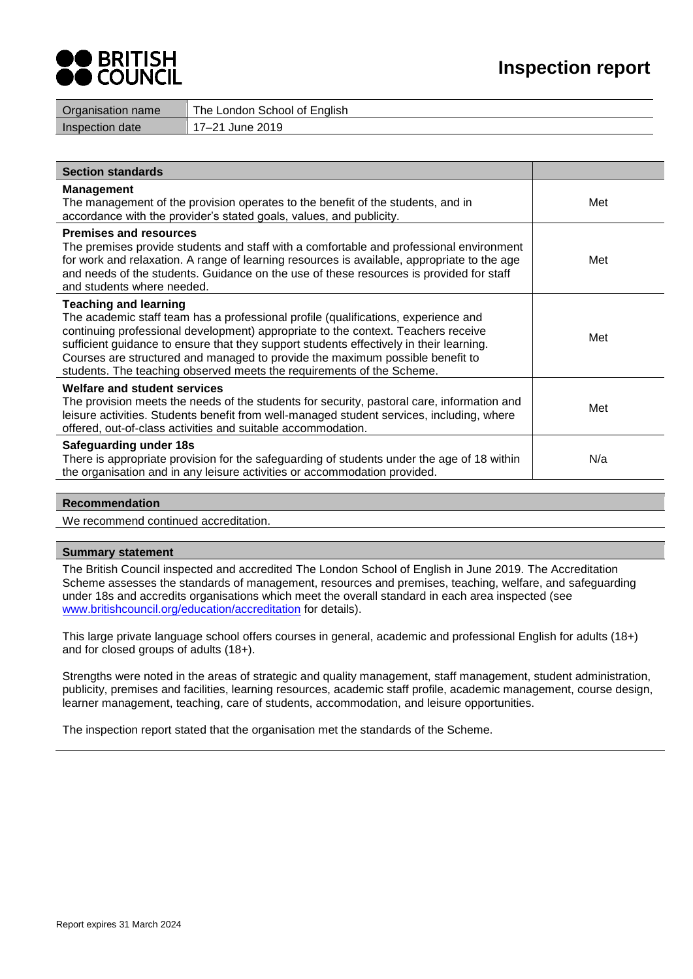

| Organisation name      | The London School of English |
|------------------------|------------------------------|
| <b>Inspection date</b> | 17–21 June 2019              |
|                        |                              |

| <b>Section standards</b>                                                                                                                                                                                                                                                                                                                                                                                                                                     |     |
|--------------------------------------------------------------------------------------------------------------------------------------------------------------------------------------------------------------------------------------------------------------------------------------------------------------------------------------------------------------------------------------------------------------------------------------------------------------|-----|
| <b>Management</b><br>The management of the provision operates to the benefit of the students, and in<br>accordance with the provider's stated goals, values, and publicity.                                                                                                                                                                                                                                                                                  | Met |
| <b>Premises and resources</b><br>The premises provide students and staff with a comfortable and professional environment<br>for work and relaxation. A range of learning resources is available, appropriate to the age<br>and needs of the students. Guidance on the use of these resources is provided for staff<br>and students where needed.                                                                                                             | Met |
| <b>Teaching and learning</b><br>The academic staff team has a professional profile (qualifications, experience and<br>continuing professional development) appropriate to the context. Teachers receive<br>sufficient guidance to ensure that they support students effectively in their learning.<br>Courses are structured and managed to provide the maximum possible benefit to<br>students. The teaching observed meets the requirements of the Scheme. | Met |
| <b>Welfare and student services</b><br>The provision meets the needs of the students for security, pastoral care, information and<br>leisure activities. Students benefit from well-managed student services, including, where<br>offered, out-of-class activities and suitable accommodation.                                                                                                                                                               | Met |
| Safeguarding under 18s<br>There is appropriate provision for the safeguarding of students under the age of 18 within<br>the organisation and in any leisure activities or accommodation provided.                                                                                                                                                                                                                                                            | N/a |

# **Recommendation**

We recommend continued accreditation.

### **Summary statement**

The British Council inspected and accredited The London School of English in June 2019. The Accreditation Scheme assesses the standards of management, resources and premises, teaching, welfare, and safeguarding under 18s and accredits organisations which meet the overall standard in each area inspected (see [www.britishcouncil.org/education/accreditation](http://www.britishcouncil.org/education/accreditation) for details).

This large private language school offers courses in general, academic and professional English for adults (18+) and for closed groups of adults (18+).

Strengths were noted in the areas of strategic and quality management, staff management, student administration, publicity, premises and facilities, learning resources, academic staff profile, academic management, course design, learner management, teaching, care of students, accommodation, and leisure opportunities.

The inspection report stated that the organisation met the standards of the Scheme.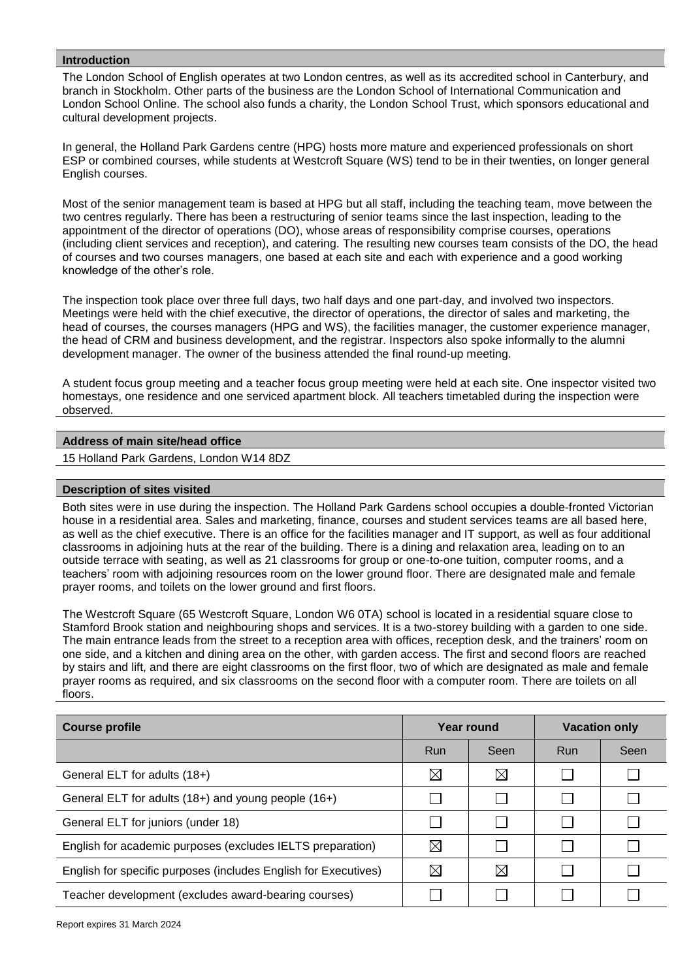# **Introduction**

The London School of English operates at two London centres, as well as its accredited school in Canterbury, and branch in Stockholm. Other parts of the business are the London School of International Communication and London School Online. The school also funds a charity, the London School Trust, which sponsors educational and cultural development projects.

In general, the Holland Park Gardens centre (HPG) hosts more mature and experienced professionals on short ESP or combined courses, while students at Westcroft Square (WS) tend to be in their twenties, on longer general English courses.

Most of the senior management team is based at HPG but all staff, including the teaching team, move between the two centres regularly. There has been a restructuring of senior teams since the last inspection, leading to the appointment of the director of operations (DO), whose areas of responsibility comprise courses, operations (including client services and reception), and catering. The resulting new courses team consists of the DO, the head of courses and two courses managers, one based at each site and each with experience and a good working knowledge of the other's role.

The inspection took place over three full days, two half days and one part-day, and involved two inspectors. Meetings were held with the chief executive, the director of operations, the director of sales and marketing, the head of courses, the courses managers (HPG and WS), the facilities manager, the customer experience manager, the head of CRM and business development, and the registrar. Inspectors also spoke informally to the alumni development manager. The owner of the business attended the final round-up meeting.

A student focus group meeting and a teacher focus group meeting were held at each site. One inspector visited two homestays, one residence and one serviced apartment block. All teachers timetabled during the inspection were observed.

## **Address of main site/head office**

15 Holland Park Gardens, London W14 8DZ

### **Description of sites visited**

Both sites were in use during the inspection. The Holland Park Gardens school occupies a double-fronted Victorian house in a residential area. Sales and marketing, finance, courses and student services teams are all based here, as well as the chief executive. There is an office for the facilities manager and IT support, as well as four additional classrooms in adjoining huts at the rear of the building. There is a dining and relaxation area, leading on to an outside terrace with seating, as well as 21 classrooms for group or one-to-one tuition, computer rooms, and a teachers' room with adjoining resources room on the lower ground floor. There are designated male and female prayer rooms, and toilets on the lower ground and first floors.

The Westcroft Square (65 Westcroft Square, London W6 0TA) school is located in a residential square close to Stamford Brook station and neighbouring shops and services. It is a two-storey building with a garden to one side. The main entrance leads from the street to a reception area with offices, reception desk, and the trainers' room on one side, and a kitchen and dining area on the other, with garden access. The first and second floors are reached by stairs and lift, and there are eight classrooms on the first floor, two of which are designated as male and female prayer rooms as required, and six classrooms on the second floor with a computer room. There are toilets on all floors.

| <b>Course profile</b>                                           | Year round  |             | <b>Vacation only</b> |      |
|-----------------------------------------------------------------|-------------|-------------|----------------------|------|
|                                                                 | Run         | Seen        | <b>Run</b>           | Seen |
| General ELT for adults (18+)                                    | $\boxtimes$ | $\boxtimes$ |                      |      |
| General ELT for adults (18+) and young people (16+)             |             |             |                      |      |
| General ELT for juniors (under 18)                              |             |             |                      |      |
| English for academic purposes (excludes IELTS preparation)      | ⊠           |             |                      |      |
| English for specific purposes (includes English for Executives) | $\bowtie$   | $\boxtimes$ |                      |      |
| Teacher development (excludes award-bearing courses)            |             |             |                      |      |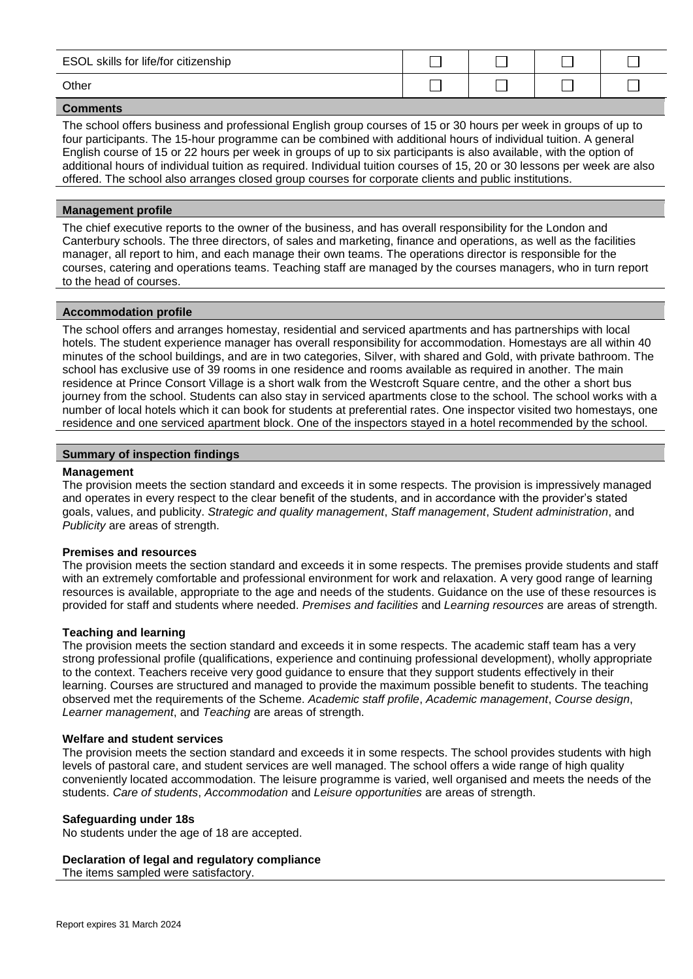| ESOL skills for life/for citizenship |  |  |
|--------------------------------------|--|--|
| Other                                |  |  |

The school offers business and professional English group courses of 15 or 30 hours per week in groups of up to four participants. The 15-hour programme can be combined with additional hours of individual tuition. A general English course of 15 or 22 hours per week in groups of up to six participants is also available, with the option of additional hours of individual tuition as required. Individual tuition courses of 15, 20 or 30 lessons per week are also offered. The school also arranges closed group courses for corporate clients and public institutions.

### **Management profile**

The chief executive reports to the owner of the business, and has overall responsibility for the London and Canterbury schools. The three directors, of sales and marketing, finance and operations, as well as the facilities manager, all report to him, and each manage their own teams. The operations director is responsible for the courses, catering and operations teams. Teaching staff are managed by the courses managers, who in turn report to the head of courses.

### **Accommodation profile**

The school offers and arranges homestay, residential and serviced apartments and has partnerships with local hotels. The student experience manager has overall responsibility for accommodation. Homestays are all within 40 minutes of the school buildings, and are in two categories, Silver, with shared and Gold, with private bathroom. The school has exclusive use of 39 rooms in one residence and rooms available as required in another. The main residence at Prince Consort Village is a short walk from the Westcroft Square centre, and the other a short bus journey from the school. Students can also stay in serviced apartments close to the school. The school works with a number of local hotels which it can book for students at preferential rates. One inspector visited two homestays, one residence and one serviced apartment block. One of the inspectors stayed in a hotel recommended by the school.

### **Summary of inspection findings**

#### **Management**

The provision meets the section standard and exceeds it in some respects. The provision is impressively managed and operates in every respect to the clear benefit of the students, and in accordance with the provider's stated goals, values, and publicity. *Strategic and quality management*, *Staff management*, *Student administration*, and *Publicity* are areas of strength.

### **Premises and resources**

The provision meets the section standard and exceeds it in some respects. The premises provide students and staff with an extremely comfortable and professional environment for work and relaxation. A very good range of learning resources is available, appropriate to the age and needs of the students. Guidance on the use of these resources is provided for staff and students where needed. *Premises and facilities* and *Learning resources* are areas of strength.

#### **Teaching and learning**

The provision meets the section standard and exceeds it in some respects. The academic staff team has a very strong professional profile (qualifications, experience and continuing professional development), wholly appropriate to the context. Teachers receive very good guidance to ensure that they support students effectively in their learning. Courses are structured and managed to provide the maximum possible benefit to students. The teaching observed met the requirements of the Scheme. *Academic staff profile*, *Academic management*, *Course design*, *Learner management*, and *Teaching* are areas of strength.

#### **Welfare and student services**

The provision meets the section standard and exceeds it in some respects. The school provides students with high levels of pastoral care, and student services are well managed. The school offers a wide range of high quality conveniently located accommodation. The leisure programme is varied, well organised and meets the needs of the students. *Care of students*, *Accommodation* and *Leisure opportunities* are areas of strength.

### **Safeguarding under 18s**

No students under the age of 18 are accepted.

# **Declaration of legal and regulatory compliance**

The items sampled were satisfactory.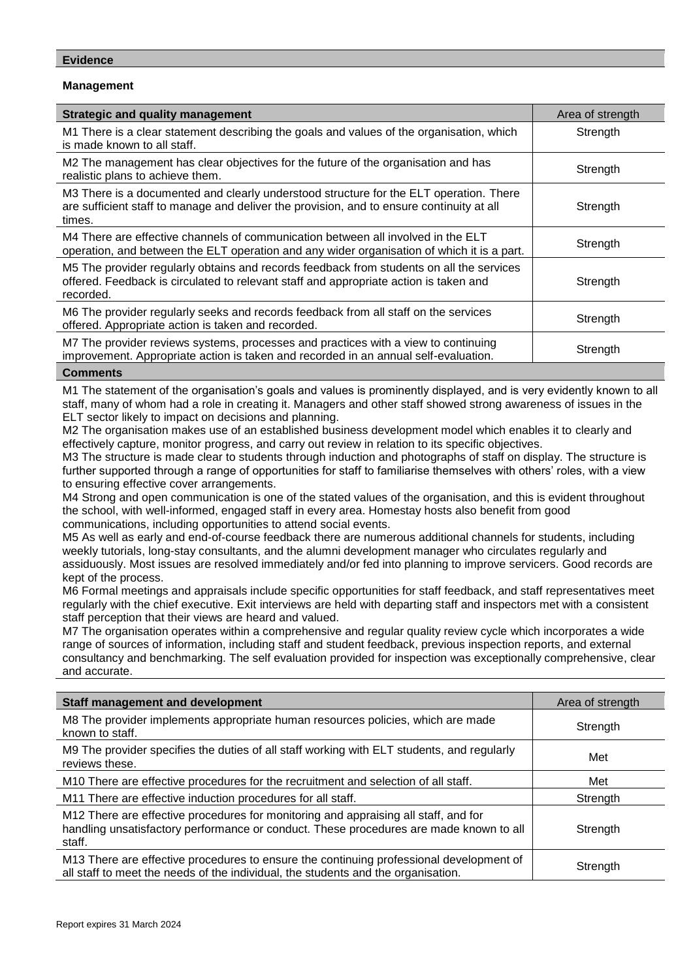## **Management**

| <b>Strategic and quality management</b>                                                                                                                                                        | Area of strength |
|------------------------------------------------------------------------------------------------------------------------------------------------------------------------------------------------|------------------|
| M1 There is a clear statement describing the goals and values of the organisation, which<br>is made known to all staff.                                                                        | Strength         |
| M2 The management has clear objectives for the future of the organisation and has<br>realistic plans to achieve them.                                                                          | Strength         |
| M3 There is a documented and clearly understood structure for the ELT operation. There<br>are sufficient staff to manage and deliver the provision, and to ensure continuity at all<br>times.  | Strength         |
| M4 There are effective channels of communication between all involved in the ELT<br>operation, and between the ELT operation and any wider organisation of which it is a part.                 | Strength         |
| M5 The provider regularly obtains and records feedback from students on all the services<br>offered. Feedback is circulated to relevant staff and appropriate action is taken and<br>recorded. | Strength         |
| M6 The provider regularly seeks and records feedback from all staff on the services<br>offered. Appropriate action is taken and recorded.                                                      | Strength         |
| M7 The provider reviews systems, processes and practices with a view to continuing<br>improvement. Appropriate action is taken and recorded in an annual self-evaluation.                      | Strength         |

### **Comments**

M1 The statement of the organisation's goals and values is prominently displayed, and is very evidently known to all staff, many of whom had a role in creating it. Managers and other staff showed strong awareness of issues in the ELT sector likely to impact on decisions and planning.

M2 The organisation makes use of an established business development model which enables it to clearly and effectively capture, monitor progress, and carry out review in relation to its specific objectives.

M3 The structure is made clear to students through induction and photographs of staff on display. The structure is further supported through a range of opportunities for staff to familiarise themselves with others' roles, with a view to ensuring effective cover arrangements.

M4 Strong and open communication is one of the stated values of the organisation, and this is evident throughout the school, with well-informed, engaged staff in every area. Homestay hosts also benefit from good communications, including opportunities to attend social events.

M5 As well as early and end-of-course feedback there are numerous additional channels for students, including weekly tutorials, long-stay consultants, and the alumni development manager who circulates regularly and assiduously. Most issues are resolved immediately and/or fed into planning to improve servicers. Good records are kept of the process.

M6 Formal meetings and appraisals include specific opportunities for staff feedback, and staff representatives meet regularly with the chief executive. Exit interviews are held with departing staff and inspectors met with a consistent staff perception that their views are heard and valued.

M7 The organisation operates within a comprehensive and regular quality review cycle which incorporates a wide range of sources of information, including staff and student feedback, previous inspection reports, and external consultancy and benchmarking. The self evaluation provided for inspection was exceptionally comprehensive, clear and accurate.

| <b>Staff management and development</b>                                                                                                                                                 | Area of strength |
|-----------------------------------------------------------------------------------------------------------------------------------------------------------------------------------------|------------------|
| M8 The provider implements appropriate human resources policies, which are made<br>known to staff.                                                                                      | Strength         |
| M9 The provider specifies the duties of all staff working with ELT students, and regularly<br>reviews these.                                                                            | Met              |
| M10 There are effective procedures for the recruitment and selection of all staff.                                                                                                      | Met              |
| M11 There are effective induction procedures for all staff.                                                                                                                             | Strength         |
| M12 There are effective procedures for monitoring and appraising all staff, and for<br>handling unsatisfactory performance or conduct. These procedures are made known to all<br>staff. | Strength         |
| M13 There are effective procedures to ensure the continuing professional development of<br>all staff to meet the needs of the individual, the students and the organisation.            | Strength         |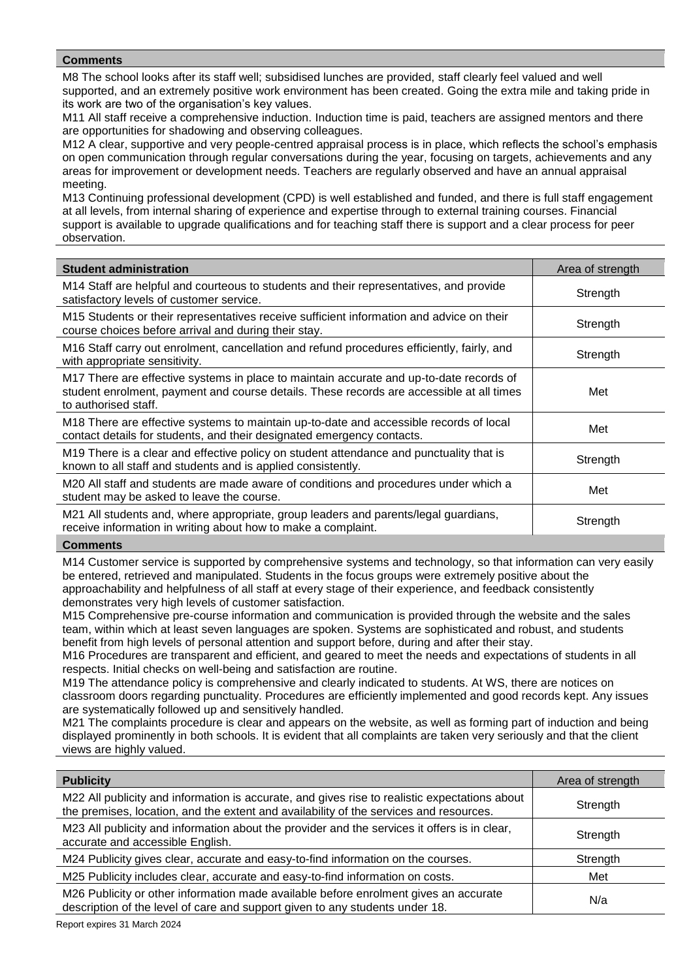M8 The school looks after its staff well; subsidised lunches are provided, staff clearly feel valued and well supported, and an extremely positive work environment has been created. Going the extra mile and taking pride in its work are two of the organisation's key values.

M11 All staff receive a comprehensive induction. Induction time is paid, teachers are assigned mentors and there are opportunities for shadowing and observing colleagues.

M12 A clear, supportive and very people-centred appraisal process is in place, which reflects the school's emphasis on open communication through regular conversations during the year, focusing on targets, achievements and any areas for improvement or development needs. Teachers are regularly observed and have an annual appraisal meeting.

M13 Continuing professional development (CPD) is well established and funded, and there is full staff engagement at all levels, from internal sharing of experience and expertise through to external training courses. Financial support is available to upgrade qualifications and for teaching staff there is support and a clear process for peer observation.

| <b>Student administration</b>                                                                                                                                                                               | Area of strength |
|-------------------------------------------------------------------------------------------------------------------------------------------------------------------------------------------------------------|------------------|
| M14 Staff are helpful and courteous to students and their representatives, and provide<br>satisfactory levels of customer service.                                                                          | Strength         |
| M15 Students or their representatives receive sufficient information and advice on their<br>course choices before arrival and during their stay.                                                            | Strength         |
| M16 Staff carry out enrolment, cancellation and refund procedures efficiently, fairly, and<br>with appropriate sensitivity.                                                                                 | Strength         |
| M17 There are effective systems in place to maintain accurate and up-to-date records of<br>student enrolment, payment and course details. These records are accessible at all times<br>to authorised staff. | Met              |
| M18 There are effective systems to maintain up-to-date and accessible records of local<br>contact details for students, and their designated emergency contacts.                                            | Met              |
| M19 There is a clear and effective policy on student attendance and punctuality that is<br>known to all staff and students and is applied consistently.                                                     | Strength         |
| M20 All staff and students are made aware of conditions and procedures under which a<br>student may be asked to leave the course.                                                                           | Met              |
| M21 All students and, where appropriate, group leaders and parents/legal guardians,<br>receive information in writing about how to make a complaint.                                                        | Strength         |

### **Comments**

M14 Customer service is supported by comprehensive systems and technology, so that information can very easily be entered, retrieved and manipulated. Students in the focus groups were extremely positive about the approachability and helpfulness of all staff at every stage of their experience, and feedback consistently demonstrates very high levels of customer satisfaction.

M15 Comprehensive pre-course information and communication is provided through the website and the sales team, within which at least seven languages are spoken. Systems are sophisticated and robust, and students benefit from high levels of personal attention and support before, during and after their stay.

M16 Procedures are transparent and efficient, and geared to meet the needs and expectations of students in all respects. Initial checks on well-being and satisfaction are routine.

M19 The attendance policy is comprehensive and clearly indicated to students. At WS, there are notices on classroom doors regarding punctuality. Procedures are efficiently implemented and good records kept. Any issues are systematically followed up and sensitively handled.

M21 The complaints procedure is clear and appears on the website, as well as forming part of induction and being displayed prominently in both schools. It is evident that all complaints are taken very seriously and that the client views are highly valued.

| <b>Publicity</b>                                                                                                                                                                        | Area of strength |
|-----------------------------------------------------------------------------------------------------------------------------------------------------------------------------------------|------------------|
| M22 All publicity and information is accurate, and gives rise to realistic expectations about<br>the premises, location, and the extent and availability of the services and resources. | Strength         |
| M23 All publicity and information about the provider and the services it offers is in clear,<br>accurate and accessible English.                                                        | Strength         |
| M24 Publicity gives clear, accurate and easy-to-find information on the courses.                                                                                                        | Strength         |
| M25 Publicity includes clear, accurate and easy-to-find information on costs.                                                                                                           | Met              |
| M26 Publicity or other information made available before enrolment gives an accurate<br>description of the level of care and support given to any students under 18.                    | N/a              |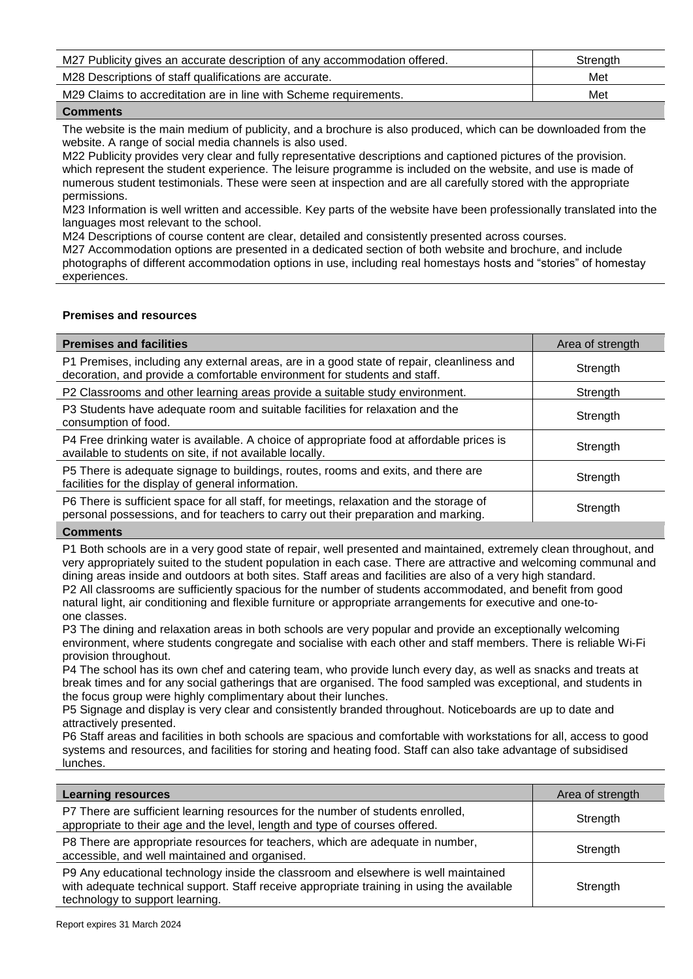| M27 Publicity gives an accurate description of any accommodation offered. | Strength |
|---------------------------------------------------------------------------|----------|
| M28 Descriptions of staff qualifications are accurate.                    | Met      |
| M29 Claims to accreditation are in line with Scheme requirements.         | Met      |
|                                                                           |          |

The website is the main medium of publicity, and a brochure is also produced, which can be downloaded from the website. A range of social media channels is also used.

M22 Publicity provides very clear and fully representative descriptions and captioned pictures of the provision. which represent the student experience. The leisure programme is included on the website, and use is made of numerous student testimonials. These were seen at inspection and are all carefully stored with the appropriate permissions.

M23 Information is well written and accessible. Key parts of the website have been professionally translated into the languages most relevant to the school.

M24 Descriptions of course content are clear, detailed and consistently presented across courses*.* 

M27 Accommodation options are presented in a dedicated section of both website and brochure, and include photographs of different accommodation options in use, including real homestays hosts and "stories" of homestay experiences.

# **Premises and resources**

| <b>Premises and facilities</b>                                                                                                                                                | Area of strength |
|-------------------------------------------------------------------------------------------------------------------------------------------------------------------------------|------------------|
| P1 Premises, including any external areas, are in a good state of repair, cleanliness and<br>decoration, and provide a comfortable environment for students and staff.        | Strength         |
| P2 Classrooms and other learning areas provide a suitable study environment.                                                                                                  | Strength         |
| P3 Students have adequate room and suitable facilities for relaxation and the<br>consumption of food.                                                                         | Strength         |
| P4 Free drinking water is available. A choice of appropriate food at affordable prices is<br>available to students on site, if not available locally.                         | Strength         |
| P5 There is adequate signage to buildings, routes, rooms and exits, and there are<br>facilities for the display of general information.                                       | Strength         |
| P6 There is sufficient space for all staff, for meetings, relaxation and the storage of<br>personal possessions, and for teachers to carry out their preparation and marking. | Strength         |

# **Comments**

P1 Both schools are in a very good state of repair, well presented and maintained, extremely clean throughout, and very appropriately suited to the student population in each case. There are attractive and welcoming communal and dining areas inside and outdoors at both sites. Staff areas and facilities are also of a very high standard. P2 All classrooms are sufficiently spacious for the number of students accommodated, and benefit from good

natural light, air conditioning and flexible furniture or appropriate arrangements for executive and one-toone classes.

P3 The dining and relaxation areas in both schools are very popular and provide an exceptionally welcoming environment, where students congregate and socialise with each other and staff members. There is reliable Wi-Fi provision throughout.

P4 The school has its own chef and catering team, who provide lunch every day, as well as snacks and treats at break times and for any social gatherings that are organised. The food sampled was exceptional, and students in the focus group were highly complimentary about their lunches.

P5 Signage and display is very clear and consistently branded throughout. Noticeboards are up to date and attractively presented.

P6 Staff areas and facilities in both schools are spacious and comfortable with workstations for all, access to good systems and resources, and facilities for storing and heating food. Staff can also take advantage of subsidised lunches.

| <b>Learning resources</b>                                                                                                                                                                                            | Area of strength |
|----------------------------------------------------------------------------------------------------------------------------------------------------------------------------------------------------------------------|------------------|
| P7 There are sufficient learning resources for the number of students enrolled,<br>appropriate to their age and the level, length and type of courses offered.                                                       | Strength         |
| P8 There are appropriate resources for teachers, which are adequate in number,<br>accessible, and well maintained and organised.                                                                                     | Strength         |
| P9 Any educational technology inside the classroom and elsewhere is well maintained<br>with adequate technical support. Staff receive appropriate training in using the available<br>technology to support learning. | Strength         |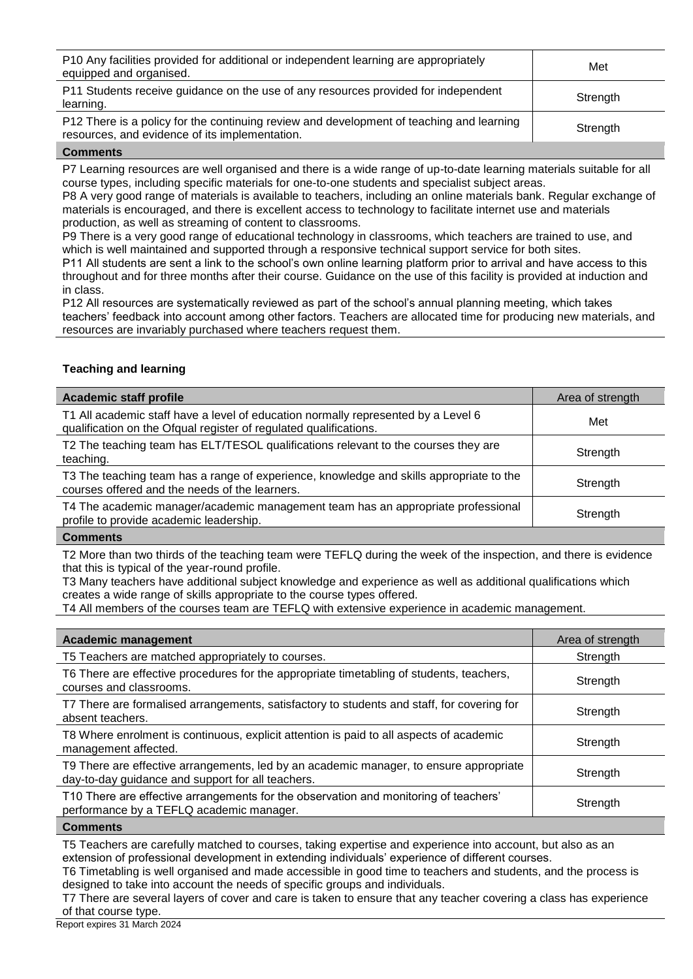| P10 Any facilities provided for additional or independent learning are appropriately<br>equipped and organised.                            | Met      |
|--------------------------------------------------------------------------------------------------------------------------------------------|----------|
| P11 Students receive guidance on the use of any resources provided for independent<br>learning.                                            | Strength |
| P12 There is a policy for the continuing review and development of teaching and learning<br>resources, and evidence of its implementation. | Strength |

P7 Learning resources are well organised and there is a wide range of up-to-date learning materials suitable for all course types, including specific materials for one-to-one students and specialist subject areas.

P8 A very good range of materials is available to teachers, including an online materials bank. Regular exchange of materials is encouraged, and there is excellent access to technology to facilitate internet use and materials production, as well as streaming of content to classrooms.

P9 There is a very good range of educational technology in classrooms, which teachers are trained to use, and which is well maintained and supported through a responsive technical support service for both sites. P11 All students are sent a link to the school's own online learning platform prior to arrival and have access to this

throughout and for three months after their course. Guidance on the use of this facility is provided at induction and in class.

P12 All resources are systematically reviewed as part of the school's annual planning meeting, which takes teachers' feedback into account among other factors. Teachers are allocated time for producing new materials, and resources are invariably purchased where teachers request them.

# **Teaching and learning**

| <b>Academic staff profile</b>                                                                                                                          | Area of strength |
|--------------------------------------------------------------------------------------------------------------------------------------------------------|------------------|
| T1 All academic staff have a level of education normally represented by a Level 6<br>qualification on the Ofqual register of regulated qualifications. | Met              |
| T2 The teaching team has ELT/TESOL qualifications relevant to the courses they are<br>teaching.                                                        | Strength         |
| T3 The teaching team has a range of experience, knowledge and skills appropriate to the<br>courses offered and the needs of the learners.              | Strength         |
| T4 The academic manager/academic management team has an appropriate professional<br>profile to provide academic leadership.                            | Strength         |
|                                                                                                                                                        |                  |

### **Comments**

T2 More than two thirds of the teaching team were TEFLQ during the week of the inspection, and there is evidence that this is typical of the year-round profile.

T3 Many teachers have additional subject knowledge and experience as well as additional qualifications which creates a wide range of skills appropriate to the course types offered.

T4 All members of the courses team are TEFLQ with extensive experience in academic management.

| <b>Academic management</b>                                                                                                                  | Area of strength |
|---------------------------------------------------------------------------------------------------------------------------------------------|------------------|
| T5 Teachers are matched appropriately to courses.                                                                                           | Strength         |
| T6 There are effective procedures for the appropriate timetabling of students, teachers,<br>courses and classrooms.                         | Strength         |
| T7 There are formalised arrangements, satisfactory to students and staff, for covering for<br>absent teachers.                              | Strength         |
| T8 Where enrolment is continuous, explicit attention is paid to all aspects of academic<br>management affected.                             | Strength         |
| T9 There are effective arrangements, led by an academic manager, to ensure appropriate<br>day-to-day guidance and support for all teachers. | Strength         |
| T10 There are effective arrangements for the observation and monitoring of teachers'<br>performance by a TEFLQ academic manager.            | Strength         |
|                                                                                                                                             |                  |

**Comments**

T5 Teachers are carefully matched to courses, taking expertise and experience into account, but also as an extension of professional development in extending individuals' experience of different courses.

T6 Timetabling is well organised and made accessible in good time to teachers and students, and the process is designed to take into account the needs of specific groups and individuals.

T7 There are several layers of cover and care is taken to ensure that any teacher covering a class has experience of that course type.

Report expires 31 March 2024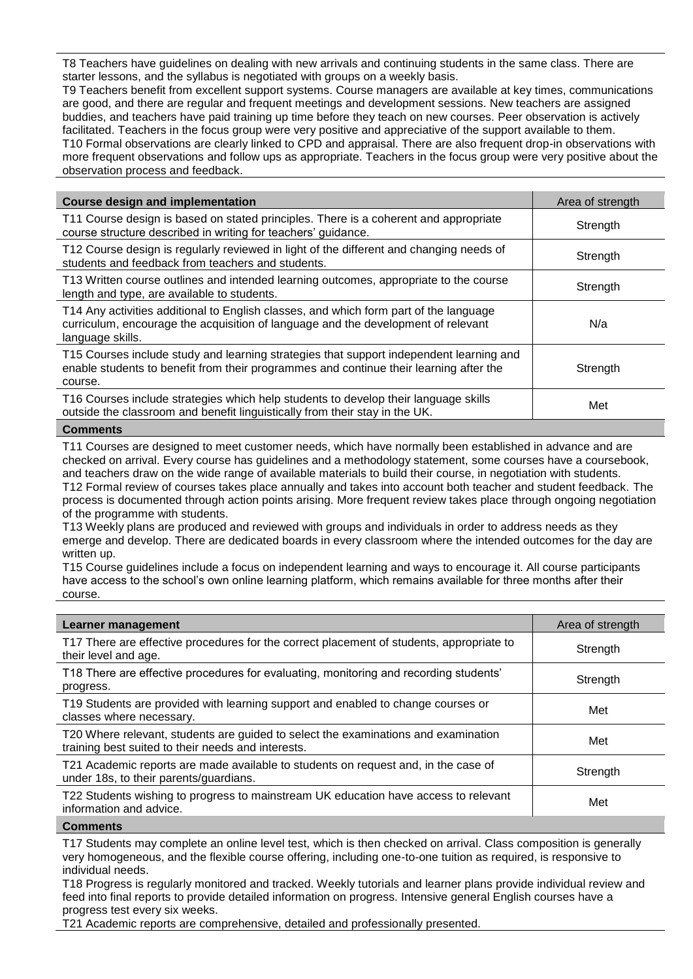T8 Teachers have guidelines on dealing with new arrivals and continuing students in the same class. There are starter lessons, and the syllabus is negotiated with groups on a weekly basis.

T9 Teachers benefit from excellent support systems. Course managers are available at key times, communications are good, and there are regular and frequent meetings and development sessions. New teachers are assigned buddies, and teachers have paid training up time before they teach on new courses. Peer observation is actively facilitated. Teachers in the focus group were very positive and appreciative of the support available to them. T10 Formal observations are clearly linked to CPD and appraisal. There are also frequent drop-in observations with more frequent observations and follow ups as appropriate. Teachers in the focus group were very positive about the observation process and feedback.

| <b>Course design and implementation</b>                                                                                                                                                        | Area of strength |
|------------------------------------------------------------------------------------------------------------------------------------------------------------------------------------------------|------------------|
| T11 Course design is based on stated principles. There is a coherent and appropriate<br>course structure described in writing for teachers' guidance.                                          | Strength         |
| T12 Course design is regularly reviewed in light of the different and changing needs of<br>students and feedback from teachers and students.                                                   | Strength         |
| T13 Written course outlines and intended learning outcomes, appropriate to the course<br>length and type, are available to students.                                                           | Strength         |
| T14 Any activities additional to English classes, and which form part of the language<br>curriculum, encourage the acquisition of language and the development of relevant<br>language skills. | N/a              |
| T15 Courses include study and learning strategies that support independent learning and<br>enable students to benefit from their programmes and continue their learning after the<br>course.   | Strength         |
| T16 Courses include strategies which help students to develop their language skills<br>outside the classroom and benefit linguistically from their stay in the UK.                             | Met              |
|                                                                                                                                                                                                |                  |

### **Comments**

T11 Courses are designed to meet customer needs, which have normally been established in advance and are checked on arrival. Every course has guidelines and a methodology statement, some courses have a coursebook, and teachers draw on the wide range of available materials to build their course, in negotiation with students. T12 Formal review of courses takes place annually and takes into account both teacher and student feedback. The process is documented through action points arising. More frequent review takes place through ongoing negotiation of the programme with students.

T13 Weekly plans are produced and reviewed with groups and individuals in order to address needs as they emerge and develop. There are dedicated boards in every classroom where the intended outcomes for the day are written up.

T15 Course guidelines include a focus on independent learning and ways to encourage it. All course participants have access to the school's own online learning platform, which remains available for three months after their course.

| T17 There are effective procedures for the correct placement of students, appropriate to<br>Strength<br>their level and age.<br>T18 There are effective procedures for evaluating, monitoring and recording students'<br>Strength<br>progress.<br>T19 Students are provided with learning support and enabled to change courses or<br>Met<br>classes where necessary.<br>T20 Where relevant, students are guided to select the examinations and examination<br>Met<br>training best suited to their needs and interests.<br>T21 Academic reports are made available to students on request and, in the case of<br>Strength<br>under 18s, to their parents/guardians.<br>T22 Students wishing to progress to mainstream UK education have access to relevant<br>Met | Learner management      | Area of strength |
|--------------------------------------------------------------------------------------------------------------------------------------------------------------------------------------------------------------------------------------------------------------------------------------------------------------------------------------------------------------------------------------------------------------------------------------------------------------------------------------------------------------------------------------------------------------------------------------------------------------------------------------------------------------------------------------------------------------------------------------------------------------------|-------------------------|------------------|
|                                                                                                                                                                                                                                                                                                                                                                                                                                                                                                                                                                                                                                                                                                                                                                    |                         |                  |
|                                                                                                                                                                                                                                                                                                                                                                                                                                                                                                                                                                                                                                                                                                                                                                    |                         |                  |
|                                                                                                                                                                                                                                                                                                                                                                                                                                                                                                                                                                                                                                                                                                                                                                    |                         |                  |
|                                                                                                                                                                                                                                                                                                                                                                                                                                                                                                                                                                                                                                                                                                                                                                    |                         |                  |
|                                                                                                                                                                                                                                                                                                                                                                                                                                                                                                                                                                                                                                                                                                                                                                    |                         |                  |
|                                                                                                                                                                                                                                                                                                                                                                                                                                                                                                                                                                                                                                                                                                                                                                    | information and advice. |                  |

**Comments**

T17 Students may complete an online level test, which is then checked on arrival. Class composition is generally very homogeneous, and the flexible course offering, including one-to-one tuition as required, is responsive to individual needs.

T18 Progress is regularly monitored and tracked. Weekly tutorials and learner plans provide individual review and feed into final reports to provide detailed information on progress. Intensive general English courses have a progress test every six weeks.

T21 Academic reports are comprehensive, detailed and professionally presented.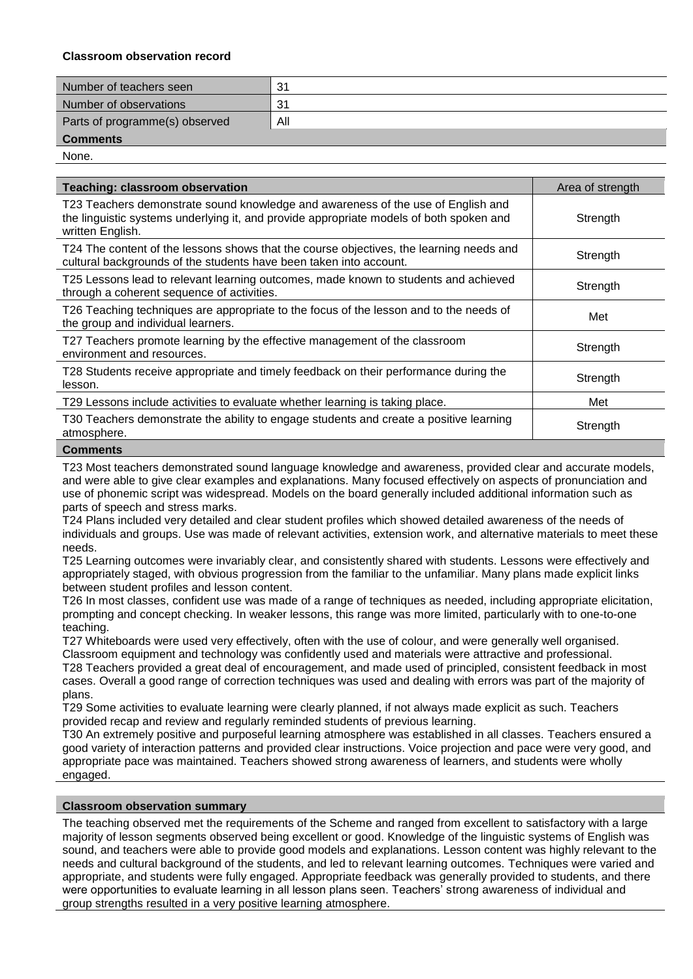# **Classroom observation record**

| Number of teachers seen        | 31  |
|--------------------------------|-----|
| Number of observations         | -31 |
| Parts of programme(s) observed | All |
| <b>Comments</b>                |     |

None.

| <b>Teaching: classroom observation</b>                                                                                                                                                          | Area of strength |
|-------------------------------------------------------------------------------------------------------------------------------------------------------------------------------------------------|------------------|
| T23 Teachers demonstrate sound knowledge and awareness of the use of English and<br>the linguistic systems underlying it, and provide appropriate models of both spoken and<br>written English. | Strength         |
| T24 The content of the lessons shows that the course objectives, the learning needs and<br>cultural backgrounds of the students have been taken into account.                                   | Strength         |
| T25 Lessons lead to relevant learning outcomes, made known to students and achieved<br>through a coherent sequence of activities.                                                               | Strength         |
| T26 Teaching techniques are appropriate to the focus of the lesson and to the needs of<br>the group and individual learners.                                                                    | Met              |
| T27 Teachers promote learning by the effective management of the classroom<br>environment and resources.                                                                                        | Strength         |
| T28 Students receive appropriate and timely feedback on their performance during the<br>lesson.                                                                                                 | Strength         |
| T29 Lessons include activities to evaluate whether learning is taking place.                                                                                                                    | Met              |
| T30 Teachers demonstrate the ability to engage students and create a positive learning<br>atmosphere.                                                                                           | Strength         |
| <b>0.</b>                                                                                                                                                                                       |                  |

### **Comments**

T23 Most teachers demonstrated sound language knowledge and awareness, provided clear and accurate models, and were able to give clear examples and explanations. Many focused effectively on aspects of pronunciation and use of phonemic script was widespread. Models on the board generally included additional information such as parts of speech and stress marks.

T24 Plans included very detailed and clear student profiles which showed detailed awareness of the needs of individuals and groups. Use was made of relevant activities, extension work, and alternative materials to meet these needs.

T25 Learning outcomes were invariably clear, and consistently shared with students. Lessons were effectively and appropriately staged, with obvious progression from the familiar to the unfamiliar. Many plans made explicit links between student profiles and lesson content.

T26 In most classes, confident use was made of a range of techniques as needed, including appropriate elicitation, prompting and concept checking. In weaker lessons, this range was more limited, particularly with to one-to-one teaching.

T27 Whiteboards were used very effectively, often with the use of colour, and were generally well organised. Classroom equipment and technology was confidently used and materials were attractive and professional.

T28 Teachers provided a great deal of encouragement, and made used of principled, consistent feedback in most cases. Overall a good range of correction techniques was used and dealing with errors was part of the majority of plans.

T29 Some activities to evaluate learning were clearly planned, if not always made explicit as such. Teachers provided recap and review and regularly reminded students of previous learning.

T30 An extremely positive and purposeful learning atmosphere was established in all classes. Teachers ensured a good variety of interaction patterns and provided clear instructions. Voice projection and pace were very good, and appropriate pace was maintained. Teachers showed strong awareness of learners, and students were wholly engaged.

### **Classroom observation summary**

The teaching observed met the requirements of the Scheme and ranged from excellent to satisfactory with a large majority of lesson segments observed being excellent or good. Knowledge of the linguistic systems of English was sound, and teachers were able to provide good models and explanations. Lesson content was highly relevant to the needs and cultural background of the students, and led to relevant learning outcomes. Techniques were varied and appropriate, and students were fully engaged. Appropriate feedback was generally provided to students, and there were opportunities to evaluate learning in all lesson plans seen. Teachers' strong awareness of individual and group strengths resulted in a very positive learning atmosphere.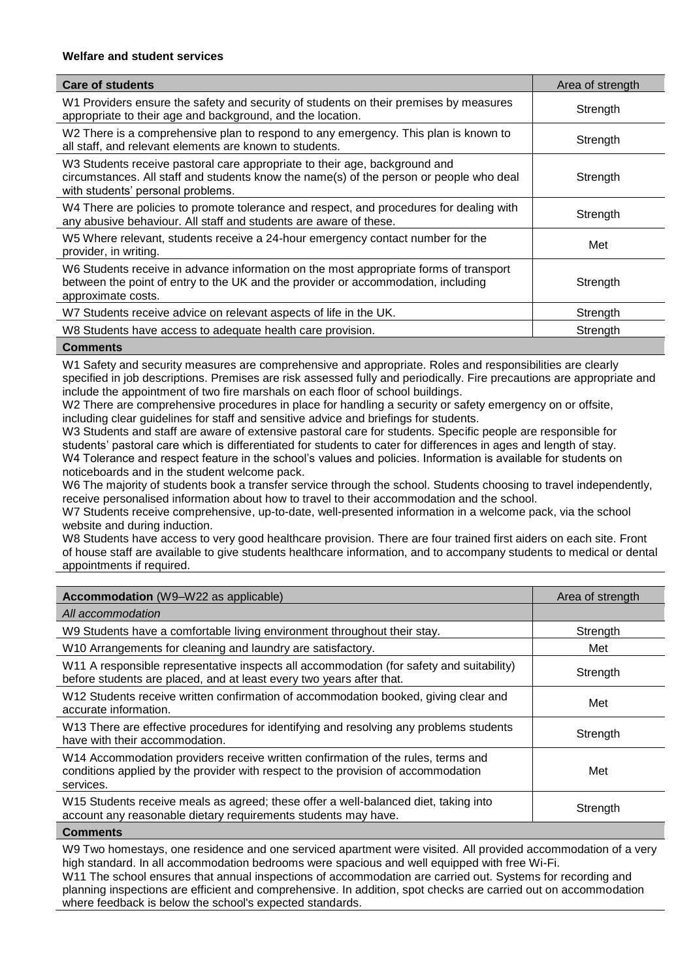# **Welfare and student services**

| <b>Care of students</b>                                                                                                                                                                                    | Area of strength |
|------------------------------------------------------------------------------------------------------------------------------------------------------------------------------------------------------------|------------------|
| W1 Providers ensure the safety and security of students on their premises by measures<br>appropriate to their age and background, and the location.                                                        | Strength         |
| W2 There is a comprehensive plan to respond to any emergency. This plan is known to<br>all staff, and relevant elements are known to students.                                                             | Strength         |
| W3 Students receive pastoral care appropriate to their age, background and<br>circumstances. All staff and students know the name(s) of the person or people who deal<br>with students' personal problems. | Strength         |
| W4 There are policies to promote tolerance and respect, and procedures for dealing with<br>any abusive behaviour. All staff and students are aware of these.                                               | Strength         |
| W5 Where relevant, students receive a 24-hour emergency contact number for the<br>provider, in writing.                                                                                                    | Met              |
| W6 Students receive in advance information on the most appropriate forms of transport<br>between the point of entry to the UK and the provider or accommodation, including<br>approximate costs.           | Strength         |
| W7 Students receive advice on relevant aspects of life in the UK.                                                                                                                                          | Strength         |
| W8 Students have access to adequate health care provision.                                                                                                                                                 | Strength         |
|                                                                                                                                                                                                            |                  |

### **Comments**

W1 Safety and security measures are comprehensive and appropriate. Roles and responsibilities are clearly specified in job descriptions. Premises are risk assessed fully and periodically. Fire precautions are appropriate and include the appointment of two fire marshals on each floor of school buildings.

W2 There are comprehensive procedures in place for handling a security or safety emergency on or offsite, including clear guidelines for staff and sensitive advice and briefings for students.

W3 Students and staff are aware of extensive pastoral care for students. Specific people are responsible for students' pastoral care which is differentiated for students to cater for differences in ages and length of stay. W4 Tolerance and respect feature in the school's values and policies. Information is available for students on noticeboards and in the student welcome pack.

W6 The majority of students book a transfer service through the school. Students choosing to travel independently, receive personalised information about how to travel to their accommodation and the school.

W7 Students receive comprehensive, up-to-date, well-presented information in a welcome pack, via the school website and during induction.

W8 Students have access to very good healthcare provision. There are four trained first aiders on each site. Front of house staff are available to give students healthcare information, and to accompany students to medical or dental appointments if required.

| <b>Accommodation</b> (W9-W22 as applicable)                                                                                                                                        | Area of strength |
|------------------------------------------------------------------------------------------------------------------------------------------------------------------------------------|------------------|
| All accommodation                                                                                                                                                                  |                  |
| W9 Students have a comfortable living environment throughout their stay.                                                                                                           | Strength         |
| W10 Arrangements for cleaning and laundry are satisfactory.                                                                                                                        | Met              |
| W11 A responsible representative inspects all accommodation (for safety and suitability)<br>before students are placed, and at least every two years after that.                   | Strength         |
| W12 Students receive written confirmation of accommodation booked, giving clear and<br>accurate information.                                                                       | Met              |
| W13 There are effective procedures for identifying and resolving any problems students<br>have with their accommodation.                                                           | Strength         |
| W14 Accommodation providers receive written confirmation of the rules, terms and<br>conditions applied by the provider with respect to the provision of accommodation<br>services. | Met              |
| W15 Students receive meals as agreed; these offer a well-balanced diet, taking into<br>account any reasonable dietary requirements students may have.                              | Strength         |
|                                                                                                                                                                                    |                  |

# **Comments**

W9 Two homestays, one residence and one serviced apartment were visited. All provided accommodation of a very high standard. In all accommodation bedrooms were spacious and well equipped with free Wi-Fi.

W11 The school ensures that annual inspections of accommodation are carried out. Systems for recording and planning inspections are efficient and comprehensive. In addition, spot checks are carried out on accommodation where feedback is below the school's expected standards.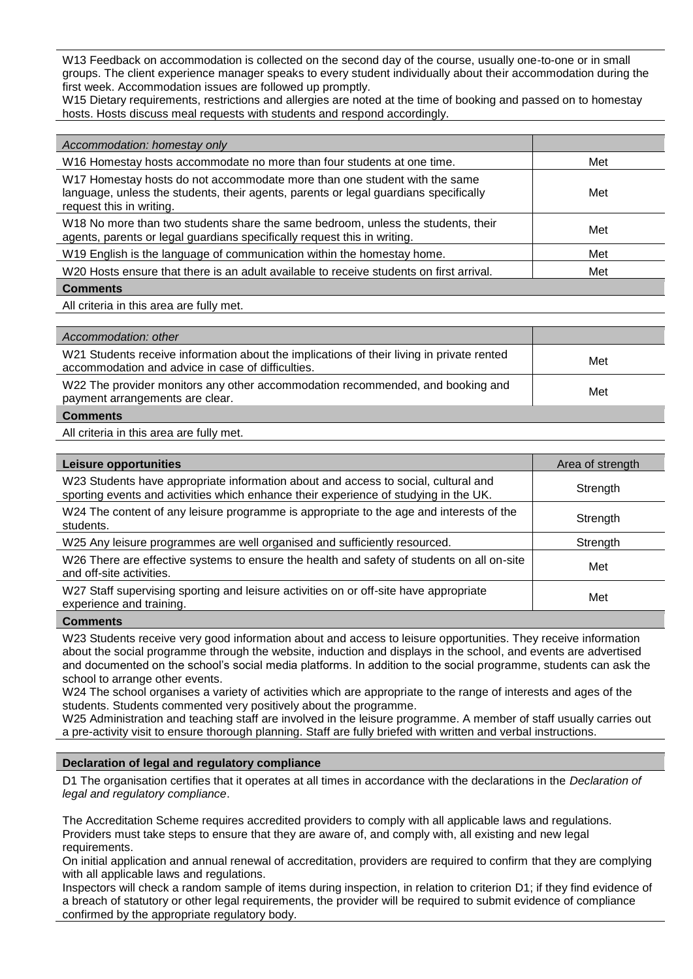W13 Feedback on accommodation is collected on the second day of the course, usually one-to-one or in small groups. The client experience manager speaks to every student individually about their accommodation during the first week. Accommodation issues are followed up promptly.

W15 Dietary requirements, restrictions and allergies are noted at the time of booking and passed on to homestay hosts. Hosts discuss meal requests with students and respond accordingly.

| Accommodation: homestay only                                                                                                                                                                  |     |
|-----------------------------------------------------------------------------------------------------------------------------------------------------------------------------------------------|-----|
| W16 Homestay hosts accommodate no more than four students at one time.                                                                                                                        | Met |
| W17 Homestay hosts do not accommodate more than one student with the same<br>language, unless the students, their agents, parents or legal guardians specifically<br>request this in writing. | Met |
| W18 No more than two students share the same bedroom, unless the students, their<br>agents, parents or legal guardians specifically request this in writing.                                  | Met |
| W19 English is the language of communication within the homestay home.                                                                                                                        | Met |
| W20 Hosts ensure that there is an adult available to receive students on first arrival.                                                                                                       | Met |
| <b>Comments</b>                                                                                                                                                                               |     |
| All criteria in this area are fully met.                                                                                                                                                      |     |

| Accommodation: other                                                                                                                           |     |
|------------------------------------------------------------------------------------------------------------------------------------------------|-----|
| W21 Students receive information about the implications of their living in private rented<br>accommodation and advice in case of difficulties. | Met |
| W22 The provider monitors any other accommodation recommended, and booking and<br>payment arrangements are clear.                              | Met |
| <b>Comments</b>                                                                                                                                |     |

All criteria in this area are fully met.

| Leisure opportunities                                                                                                                                                      | Area of strength |
|----------------------------------------------------------------------------------------------------------------------------------------------------------------------------|------------------|
| W23 Students have appropriate information about and access to social, cultural and<br>sporting events and activities which enhance their experience of studying in the UK. | Strength         |
| W24 The content of any leisure programme is appropriate to the age and interests of the<br>students.                                                                       | Strength         |
| W25 Any leisure programmes are well organised and sufficiently resourced.                                                                                                  | Strength         |
| W26 There are effective systems to ensure the health and safety of students on all on-site<br>and off-site activities.                                                     | Met              |
| W27 Staff supervising sporting and leisure activities on or off-site have appropriate<br>experience and training.                                                          | Met              |
|                                                                                                                                                                            |                  |

**Comments**

W23 Students receive very good information about and access to leisure opportunities. They receive information about the social programme through the website, induction and displays in the school, and events are advertised and documented on the school's social media platforms. In addition to the social programme, students can ask the school to arrange other events.

W24 The school organises a variety of activities which are appropriate to the range of interests and ages of the students. Students commented very positively about the programme.

W25 Administration and teaching staff are involved in the leisure programme. A member of staff usually carries out a pre-activity visit to ensure thorough planning. Staff are fully briefed with written and verbal instructions.

### **Declaration of legal and regulatory compliance**

D1 The organisation certifies that it operates at all times in accordance with the declarations in the *Declaration of legal and regulatory compliance*.

The Accreditation Scheme requires accredited providers to comply with all applicable laws and regulations. Providers must take steps to ensure that they are aware of, and comply with, all existing and new legal requirements.

On initial application and annual renewal of accreditation, providers are required to confirm that they are complying with all applicable laws and regulations.

Inspectors will check a random sample of items during inspection, in relation to criterion D1; if they find evidence of a breach of statutory or other legal requirements, the provider will be required to submit evidence of compliance confirmed by the appropriate regulatory body.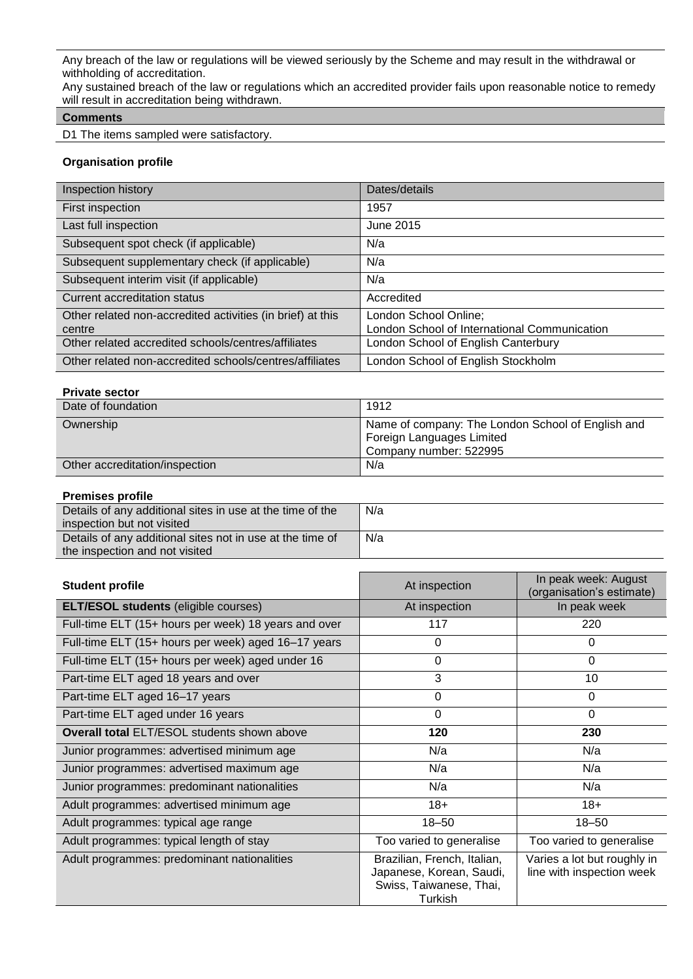Any breach of the law or regulations will be viewed seriously by the Scheme and may result in the withdrawal or withholding of accreditation.

Any sustained breach of the law or regulations which an accredited provider fails upon reasonable notice to remedy will result in accreditation being withdrawn.

# **Comments**

D1 The items sampled were satisfactory.

# **Organisation profile**

| Inspection history                                         | Dates/details                                |
|------------------------------------------------------------|----------------------------------------------|
| First inspection                                           | 1957                                         |
| Last full inspection                                       | June 2015                                    |
| Subsequent spot check (if applicable)                      | N/a                                          |
| Subsequent supplementary check (if applicable)             | N/a                                          |
| Subsequent interim visit (if applicable)                   | N/a                                          |
| Current accreditation status                               | Accredited                                   |
| Other related non-accredited activities (in brief) at this | London School Online;                        |
| centre                                                     | London School of International Communication |
| Other related accredited schools/centres/affiliates        | London School of English Canterbury          |
| Other related non-accredited schools/centres/affiliates    | London School of English Stockholm           |

# **Private sector**

| Date of foundation             | 1912                                                                                                     |
|--------------------------------|----------------------------------------------------------------------------------------------------------|
| Ownership                      | Name of company: The London School of English and<br>Foreign Languages Limited<br>Company number: 522995 |
| Other accreditation/inspection | N/a                                                                                                      |

### **Premises profile**

| Details of any additional sites in use at the time of the | N/a |
|-----------------------------------------------------------|-----|
| inspection but not visited                                |     |
| Details of any additional sites not in use at the time of | N/a |
| the inspection and not visited                            |     |

| <b>Student profile</b>                               | At inspection                                                                                 | In peak week: August<br>(organisation's estimate)        |
|------------------------------------------------------|-----------------------------------------------------------------------------------------------|----------------------------------------------------------|
| <b>ELT/ESOL students (eligible courses)</b>          | At inspection                                                                                 | In peak week                                             |
| Full-time ELT (15+ hours per week) 18 years and over | 117                                                                                           | 220                                                      |
| Full-time ELT (15+ hours per week) aged 16-17 years  | 0                                                                                             | 0                                                        |
| Full-time ELT (15+ hours per week) aged under 16     | 0                                                                                             | $\Omega$                                                 |
| Part-time ELT aged 18 years and over                 | 3                                                                                             | 10                                                       |
| Part-time ELT aged 16-17 years                       | 0                                                                                             | $\Omega$                                                 |
| Part-time ELT aged under 16 years                    | $\Omega$                                                                                      | $\Omega$                                                 |
| <b>Overall total ELT/ESOL students shown above</b>   | 120                                                                                           | 230                                                      |
| Junior programmes: advertised minimum age            | N/a                                                                                           | N/a                                                      |
| Junior programmes: advertised maximum age            | N/a                                                                                           | N/a                                                      |
| Junior programmes: predominant nationalities         | N/a                                                                                           | N/a                                                      |
| Adult programmes: advertised minimum age             | $18+$                                                                                         | $18+$                                                    |
| Adult programmes: typical age range                  | $18 - 50$                                                                                     | $18 - 50$                                                |
| Adult programmes: typical length of stay             | Too varied to generalise                                                                      | Too varied to generalise                                 |
| Adult programmes: predominant nationalities          | Brazilian, French, Italian,<br>Japanese, Korean, Saudi,<br>Swiss, Taiwanese, Thai,<br>Turkish | Varies a lot but roughly in<br>line with inspection week |